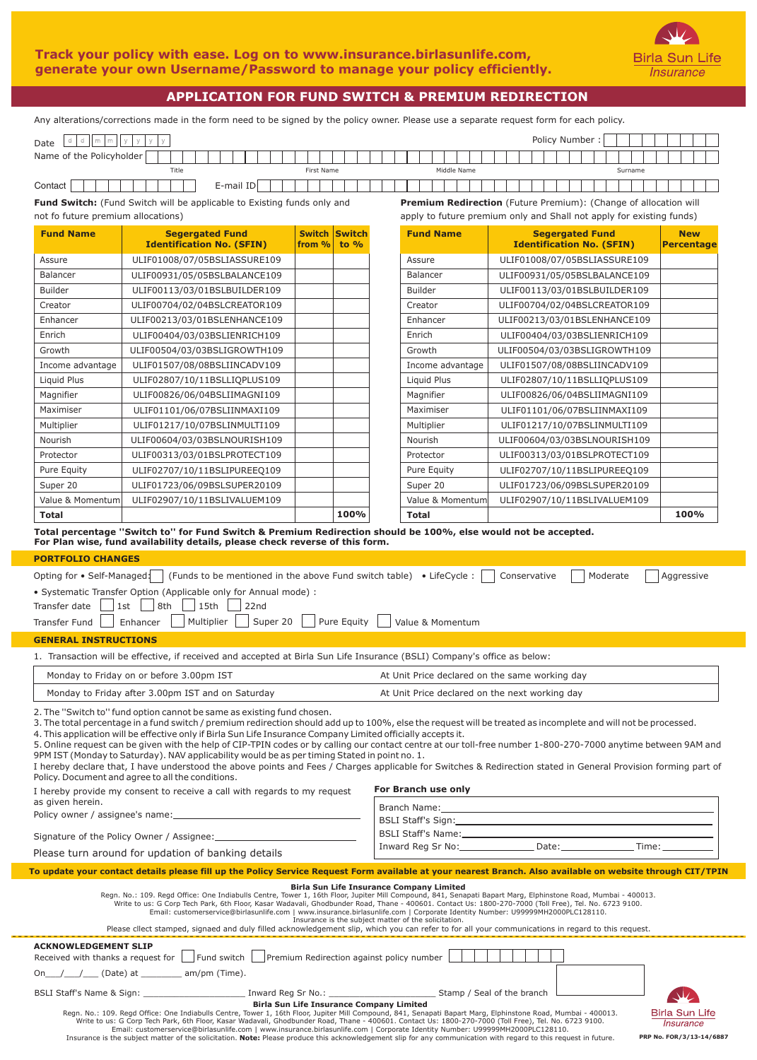# **Track your policy with ease. Log on to www.insurance.birlasunlife.com, generate your own Username/Password to manage your policy efficiently.**



## **APPLICATION FOR FUND SWITCH & PREMIUM REDIRECTION**

Any alterations/corrections made in the form need to be signed by the policy owner. Please use a separate request form for each policy.

| Date                     |       |  |           |  |  |  |            |  |  |  |             |  |  |  |  | Policy Number |  |         |  |  |  |
|--------------------------|-------|--|-----------|--|--|--|------------|--|--|--|-------------|--|--|--|--|---------------|--|---------|--|--|--|
| Name of the Policyholder |       |  |           |  |  |  |            |  |  |  |             |  |  |  |  |               |  |         |  |  |  |
|                          | Title |  |           |  |  |  | First Name |  |  |  | Middle Name |  |  |  |  |               |  | Surname |  |  |  |
| Contact                  |       |  | E-mail ID |  |  |  |            |  |  |  |             |  |  |  |  |               |  |         |  |  |  |

**Fund Switch:** (Fund Switch will be applicable to Existing funds only and not fo future premium allocations)

**Premium Redirection** (Future Premium): (Change of allocation will apply to future premium only and Shall not apply for existing funds)

| <b>Fund Name</b>            | <b>Segergated Fund</b><br><b>Identification No. (SFIN)</b>                                                                                                                                                                                                                                                                                                                                                                                                                                                                                                                                                                                                                                                                                                                                                                                                                                                                       | from % | <b>Switch Switch</b><br>to $%$ | <b>Fund Name</b>                                                                                        | <b>Segergated Fund</b><br><b>Identification No. (SFIN)</b> | <b>New</b><br><b>Percentage</b>                                                     |
|-----------------------------|----------------------------------------------------------------------------------------------------------------------------------------------------------------------------------------------------------------------------------------------------------------------------------------------------------------------------------------------------------------------------------------------------------------------------------------------------------------------------------------------------------------------------------------------------------------------------------------------------------------------------------------------------------------------------------------------------------------------------------------------------------------------------------------------------------------------------------------------------------------------------------------------------------------------------------|--------|--------------------------------|---------------------------------------------------------------------------------------------------------|------------------------------------------------------------|-------------------------------------------------------------------------------------|
| Assure                      | ULIF01008/07/05BSLIASSURE109                                                                                                                                                                                                                                                                                                                                                                                                                                                                                                                                                                                                                                                                                                                                                                                                                                                                                                     |        |                                | Assure                                                                                                  | ULIF01008/07/05BSLIASSURE109                               |                                                                                     |
| Balancer                    | ULIF00931/05/05BSLBALANCE109                                                                                                                                                                                                                                                                                                                                                                                                                                                                                                                                                                                                                                                                                                                                                                                                                                                                                                     |        |                                | Balancer                                                                                                | ULIF00931/05/05BSLBALANCE109                               |                                                                                     |
| <b>Builder</b>              | ULIF00113/03/01BSLBUILDER109                                                                                                                                                                                                                                                                                                                                                                                                                                                                                                                                                                                                                                                                                                                                                                                                                                                                                                     |        |                                | <b>Builder</b>                                                                                          | ULIF00113/03/01BSLBUILDER109                               |                                                                                     |
| Creator                     | ULIF00704/02/04BSLCREATOR109                                                                                                                                                                                                                                                                                                                                                                                                                                                                                                                                                                                                                                                                                                                                                                                                                                                                                                     |        |                                | Creator                                                                                                 | ULIF00704/02/04BSLCREATOR109                               |                                                                                     |
| Enhancer                    | ULIF00213/03/01BSLENHANCE109                                                                                                                                                                                                                                                                                                                                                                                                                                                                                                                                                                                                                                                                                                                                                                                                                                                                                                     |        |                                | Enhancer                                                                                                | ULIF00213/03/01BSLENHANCE109                               |                                                                                     |
| Enrich                      | ULIF00404/03/03BSLIENRICH109                                                                                                                                                                                                                                                                                                                                                                                                                                                                                                                                                                                                                                                                                                                                                                                                                                                                                                     |        |                                | Enrich                                                                                                  | ULIF00404/03/03BSLIENRICH109                               |                                                                                     |
| Growth                      | ULIF00504/03/03BSLIGROWTH109                                                                                                                                                                                                                                                                                                                                                                                                                                                                                                                                                                                                                                                                                                                                                                                                                                                                                                     |        |                                | Growth                                                                                                  | ULIF00504/03/03BSLIGROWTH109                               |                                                                                     |
| Income advantage            | ULIF01507/08/08BSLIINCADV109                                                                                                                                                                                                                                                                                                                                                                                                                                                                                                                                                                                                                                                                                                                                                                                                                                                                                                     |        |                                | Income advantage                                                                                        | ULIF01507/08/08BSLIINCADV109                               |                                                                                     |
| Liquid Plus                 | ULIF02807/10/11BSLLIQPLUS109                                                                                                                                                                                                                                                                                                                                                                                                                                                                                                                                                                                                                                                                                                                                                                                                                                                                                                     |        |                                | Liquid Plus                                                                                             | ULIF02807/10/11BSLLIQPLUS109                               |                                                                                     |
| Magnifier                   | ULIF00826/06/04BSLIIMAGNI109                                                                                                                                                                                                                                                                                                                                                                                                                                                                                                                                                                                                                                                                                                                                                                                                                                                                                                     |        |                                | Magnifier                                                                                               | ULIF00826/06/04BSLIIMAGNI109                               |                                                                                     |
| Maximiser                   | ULIF01101/06/07BSLIINMAXI109                                                                                                                                                                                                                                                                                                                                                                                                                                                                                                                                                                                                                                                                                                                                                                                                                                                                                                     |        |                                | Maximiser                                                                                               | ULIF01101/06/07BSLIINMAXI109                               |                                                                                     |
| Multiplier                  | ULIF01217/10/07BSLINMULTI109                                                                                                                                                                                                                                                                                                                                                                                                                                                                                                                                                                                                                                                                                                                                                                                                                                                                                                     |        |                                | Multiplier                                                                                              | ULIF01217/10/07BSLINMULTI109                               |                                                                                     |
| Nourish                     | ULIF00604/03/03BSLNOURISH109                                                                                                                                                                                                                                                                                                                                                                                                                                                                                                                                                                                                                                                                                                                                                                                                                                                                                                     |        |                                | Nourish                                                                                                 | ULIF00604/03/03BSLNOURISH109                               |                                                                                     |
| Protector                   | ULIF00313/03/01BSLPROTECT109                                                                                                                                                                                                                                                                                                                                                                                                                                                                                                                                                                                                                                                                                                                                                                                                                                                                                                     |        |                                | Protector                                                                                               | ULIF00313/03/01BSLPROTECT109                               |                                                                                     |
| Pure Equity                 | ULIF02707/10/11BSLIPUREEQ109                                                                                                                                                                                                                                                                                                                                                                                                                                                                                                                                                                                                                                                                                                                                                                                                                                                                                                     |        |                                | Pure Equity                                                                                             | ULIF02707/10/11BSLIPUREEQ109                               |                                                                                     |
| Super 20                    | ULIF01723/06/09BSLSUPER20109                                                                                                                                                                                                                                                                                                                                                                                                                                                                                                                                                                                                                                                                                                                                                                                                                                                                                                     |        |                                | Super 20                                                                                                | ULIF01723/06/09BSLSUPER20109                               |                                                                                     |
| Value & Momentum            | ULIF02907/10/11BSLIVALUEM109                                                                                                                                                                                                                                                                                                                                                                                                                                                                                                                                                                                                                                                                                                                                                                                                                                                                                                     |        |                                | Value & Momentum                                                                                        | ULIF02907/10/11BSLIVALUEM109                               |                                                                                     |
| <b>Total</b>                |                                                                                                                                                                                                                                                                                                                                                                                                                                                                                                                                                                                                                                                                                                                                                                                                                                                                                                                                  |        | 100%                           | <b>Total</b>                                                                                            |                                                            | 100%                                                                                |
|                             | Total percentage "Switch to" for Fund Switch & Premium Redirection should be 100%, else would not be accepted.                                                                                                                                                                                                                                                                                                                                                                                                                                                                                                                                                                                                                                                                                                                                                                                                                   |        |                                |                                                                                                         |                                                            |                                                                                     |
| Opting for • Self-Managed:  | (Funds to be mentioned in the above Fund switch table) . LifeCycle :<br>. Systematic Transfer Option (Applicable only for Annual mode) :                                                                                                                                                                                                                                                                                                                                                                                                                                                                                                                                                                                                                                                                                                                                                                                         |        |                                |                                                                                                         | Conservative<br>Moderate                                   | Aggressive                                                                          |
| Transfer date               | 1st<br>8th<br>15th<br>22nd                                                                                                                                                                                                                                                                                                                                                                                                                                                                                                                                                                                                                                                                                                                                                                                                                                                                                                       |        |                                |                                                                                                         |                                                            |                                                                                     |
|                             |                                                                                                                                                                                                                                                                                                                                                                                                                                                                                                                                                                                                                                                                                                                                                                                                                                                                                                                                  |        |                                |                                                                                                         |                                                            |                                                                                     |
| <b>Transfer Fund</b>        | Super 20<br>Multiplier<br>Enhancer                                                                                                                                                                                                                                                                                                                                                                                                                                                                                                                                                                                                                                                                                                                                                                                                                                                                                               |        | Pure Equity                    | Value & Momentum                                                                                        |                                                            |                                                                                     |
| <b>GENERAL INSTRUCTIONS</b> |                                                                                                                                                                                                                                                                                                                                                                                                                                                                                                                                                                                                                                                                                                                                                                                                                                                                                                                                  |        |                                |                                                                                                         |                                                            |                                                                                     |
|                             | 1. Transaction will be effective, if received and accepted at Birla Sun Life Insurance (BSLI) Company's office as below:                                                                                                                                                                                                                                                                                                                                                                                                                                                                                                                                                                                                                                                                                                                                                                                                         |        |                                |                                                                                                         |                                                            |                                                                                     |
|                             | Monday to Friday on or before 3.00pm IST                                                                                                                                                                                                                                                                                                                                                                                                                                                                                                                                                                                                                                                                                                                                                                                                                                                                                         |        |                                | At Unit Price declared on the same working day                                                          |                                                            |                                                                                     |
|                             | Monday to Friday after 3.00pm IST and on Saturday                                                                                                                                                                                                                                                                                                                                                                                                                                                                                                                                                                                                                                                                                                                                                                                                                                                                                |        |                                | At Unit Price declared on the next working day                                                          |                                                            |                                                                                     |
|                             | 2. The "Switch to" fund option cannot be same as existing fund chosen.<br>3. The total percentage in a fund switch / premium redirection should add up to 100%, else the request will be treated as incomplete and will not be processed.<br>4. This application will be effective only if Birla Sun Life Insurance Company Limited officially accepts it.<br>5. Online request can be given with the help of CIP-TPIN codes or by calling our contact centre at our toll-free number 1-800-270-7000 anytime between 9AM and<br>9PM IST (Monday to Saturday). NAV applicability would be as per timing Stated in point no. 1.<br>I hereby declare that, I have understood the above points and Fees / Charges applicable for Switches & Redirection stated in General Provision forming part of<br>Policy. Document and agree to all the conditions.<br>I hereby provide my consent to receive a call with regards to my request |        |                                | For Branch use only                                                                                     |                                                            |                                                                                     |
| as given herein.            |                                                                                                                                                                                                                                                                                                                                                                                                                                                                                                                                                                                                                                                                                                                                                                                                                                                                                                                                  |        |                                |                                                                                                         |                                                            |                                                                                     |
|                             | Policy owner / assignee's name: example and the set of the set of the set of the set of the set of the set of the set of the set of the set of the set of the set of the set of the set of the set of the set of the set of th                                                                                                                                                                                                                                                                                                                                                                                                                                                                                                                                                                                                                                                                                                   |        |                                |                                                                                                         |                                                            |                                                                                     |
|                             |                                                                                                                                                                                                                                                                                                                                                                                                                                                                                                                                                                                                                                                                                                                                                                                                                                                                                                                                  |        |                                |                                                                                                         |                                                            |                                                                                     |
|                             | Please turn around for updation of banking details                                                                                                                                                                                                                                                                                                                                                                                                                                                                                                                                                                                                                                                                                                                                                                                                                                                                               |        |                                |                                                                                                         | Inward Reg Sr No: Date: Date: Time:                        |                                                                                     |
|                             | To update your contact details please fill up the Policy Service Request Form available at your nearest Branch. Also available on website through CIT/TPIN                                                                                                                                                                                                                                                                                                                                                                                                                                                                                                                                                                                                                                                                                                                                                                       |        |                                |                                                                                                         |                                                            |                                                                                     |
|                             | Regn. No.: 109. Regd Office: One Indiabulls Centre, Tower 1, 16th Floor, Jupiter Mill Compound, 841, Senapati Bapart Marg, Elphinstone Road, Mumbai - 400013.<br>Write to us: G Corp Tech Park, 6th Floor, Kasar Wadavali, Ghodbunder Road, Thane - 400601. Contact Us: 1800-270-7000 (Toll Free), Tel. No. 6723 9100.<br>Email: customerservice@birlasunlife.com   www.insurance.birlasunlife.com   Corporate Identity Number: U99999MH2000PLC128110.                                                                                                                                                                                                                                                                                                                                                                                                                                                                           |        |                                | <b>Birla Sun Life Insurance Company Limited</b><br>Insurance is the subject matter of the solicitation. |                                                            |                                                                                     |
|                             | Please cllect stamped, signaed and duly filled acknowledgement slip, which you can refer to for all your communications in regard to this request.                                                                                                                                                                                                                                                                                                                                                                                                                                                                                                                                                                                                                                                                                                                                                                               |        |                                |                                                                                                         |                                                            |                                                                                     |
| <b>ACKNOWLEDGEMENT SLIP</b> | Received with thanks a request for $\parallel$   Fund switch                                                                                                                                                                                                                                                                                                                                                                                                                                                                                                                                                                                                                                                                                                                                                                                                                                                                     |        |                                | Premium Redirection against policy number                                                               |                                                            |                                                                                     |
|                             | On_/__/___(Date) at ________ am/pm (Time).                                                                                                                                                                                                                                                                                                                                                                                                                                                                                                                                                                                                                                                                                                                                                                                                                                                                                       |        |                                |                                                                                                         |                                                            |                                                                                     |
|                             | BSLI Staff's Name & Sign: _____________________________ Inward Reg Sr No.: __________________________Stamp / Seal of the branch                                                                                                                                                                                                                                                                                                                                                                                                                                                                                                                                                                                                                                                                                                                                                                                                  |        |                                |                                                                                                         |                                                            |                                                                                     |
|                             | Regn. No.: 109. Regd Office: One Indiabulls Centre, Tower 1, 16th Floor, Jupiter Mill Compound, 841, Senapati Bapart Marg, Elphinstone Road, Mumbai - 400013.<br>Write to us: G Corp Tech Park, 6th Floor, Kasar Wadavali, Ghodbunder Road, Thane - 400601. Contact Us: 1800-270-7000 (Toll Free), Tel. No. 6723 9100.<br>Email: customerservice@birlasunlife.com   www.insurance.birlasunlife.com   Corporate Identity Number: U99999MH2000PLC128110.<br>Insurance is the subject matter of the solicitation. Note: Please produce this acknowledgement slip for any communication with regard to this request in future.                                                                                                                                                                                                                                                                                                       |        |                                | <b>Birla Sun Life Insurance Company Limited</b>                                                         |                                                            | <b>Birla Sun Life</b><br><i><u><b>Insurance</b></u></i><br>PRP No. FOR/3/13-14/6887 |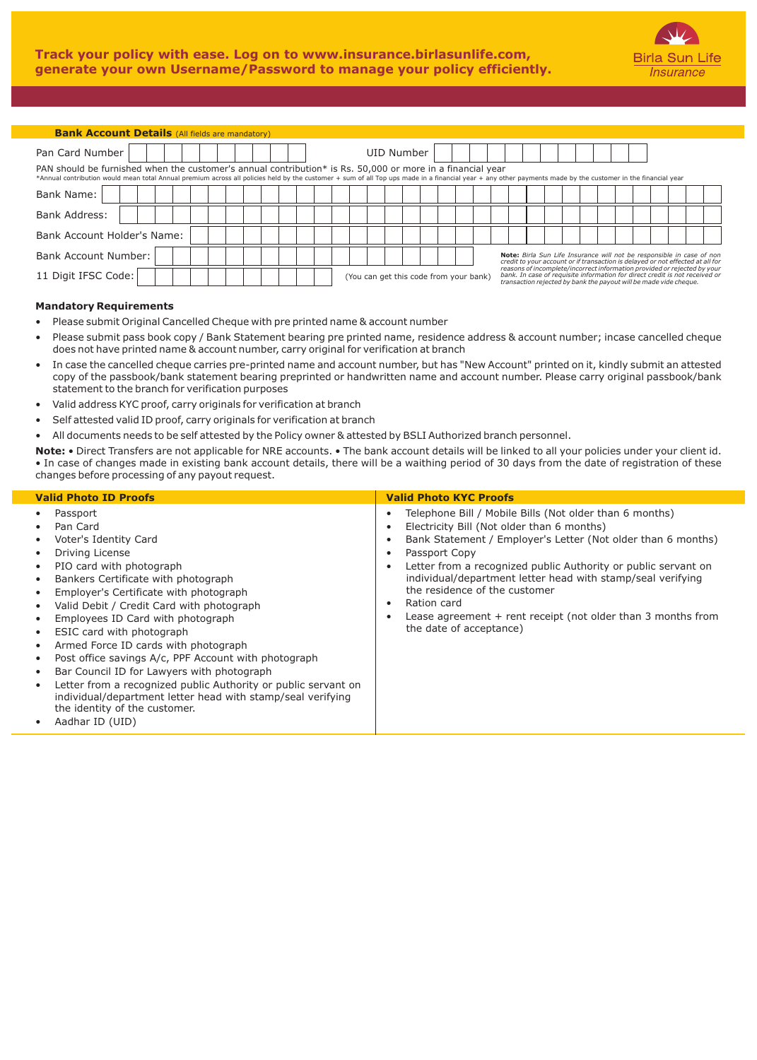

| <b>Bank Account Details</b> (All fields are mandatory)                                                                                                                                                                                                                                                                    |  |  |  |  |  |  |  |  |                                        |  |  |  |  |  |  |                                                                                                                                                                                                                              |  |  |
|---------------------------------------------------------------------------------------------------------------------------------------------------------------------------------------------------------------------------------------------------------------------------------------------------------------------------|--|--|--|--|--|--|--|--|----------------------------------------|--|--|--|--|--|--|------------------------------------------------------------------------------------------------------------------------------------------------------------------------------------------------------------------------------|--|--|
| Pan Card Number                                                                                                                                                                                                                                                                                                           |  |  |  |  |  |  |  |  | UID Number                             |  |  |  |  |  |  |                                                                                                                                                                                                                              |  |  |
| PAN should be furnished when the customer's annual contribution* is Rs. 50,000 or more in a financial year<br>*Annual contribution would mean total Annual premium across all policies held by the customer + sum of all Top ups made in a financial year + any other payments made by the customer in the financial year |  |  |  |  |  |  |  |  |                                        |  |  |  |  |  |  |                                                                                                                                                                                                                              |  |  |
| Bank Name:                                                                                                                                                                                                                                                                                                                |  |  |  |  |  |  |  |  |                                        |  |  |  |  |  |  |                                                                                                                                                                                                                              |  |  |
| <b>Bank Address:</b>                                                                                                                                                                                                                                                                                                      |  |  |  |  |  |  |  |  |                                        |  |  |  |  |  |  |                                                                                                                                                                                                                              |  |  |
| Bank Account Holder's Name:                                                                                                                                                                                                                                                                                               |  |  |  |  |  |  |  |  |                                        |  |  |  |  |  |  |                                                                                                                                                                                                                              |  |  |
| Bank Account Number:                                                                                                                                                                                                                                                                                                      |  |  |  |  |  |  |  |  |                                        |  |  |  |  |  |  | Note: Birla Sun Life Insurance will not be responsible in case of non<br>credit to your account or if transaction is delayed or not effected at all for                                                                      |  |  |
| 11 Digit IFSC Code:                                                                                                                                                                                                                                                                                                       |  |  |  |  |  |  |  |  | (You can get this code from your bank) |  |  |  |  |  |  | reasons of incomplete/incorrect information provided or rejected by your<br>bank. In case of requisite information for direct credit is not received or<br>transaction rejected by bank the payout will be made vide cheque. |  |  |

### **Mandatory Requirements**

- Please submit Original Cancelled Cheque with pre printed name & account number
- Please submit pass book copy / Bank Statement bearing pre printed name, residence address & account number; incase cancelled cheque does not have printed name & account number, carry original for verification at branch
- In case the cancelled cheque carries pre-printed name and account number, but has "New Account" printed on it, kindly submit an attested copy of the passbook/bank statement bearing preprinted or handwritten name and account number. Please carry original passbook/bank statement to the branch for verification purposes
- Valid address KYC proof, carry originals for verification at branch
- Self attested valid ID proof, carry originals for verification at branch
- All documents needs to be self attested by the Policy owner & attested by BSLI Authorized branch personnel.

Note: . Direct Transfers are not applicable for NRE accounts. . The bank account details will be linked to all your policies under your client id. • In case of changes made in existing bank account details, there will be a waithing period of 30 days from the date of registration of these changes before processing of any payout request.

| <b>Valid Photo ID Proofs</b>                                                                                                                                                                                                                                                                                                                                                                                                                                                                                                                                                                                                                                                                     | <b>Valid Photo KYC Proofs</b>                                                                                                                                                                                                                                                                                                                                                                                                                                                                                                      |
|--------------------------------------------------------------------------------------------------------------------------------------------------------------------------------------------------------------------------------------------------------------------------------------------------------------------------------------------------------------------------------------------------------------------------------------------------------------------------------------------------------------------------------------------------------------------------------------------------------------------------------------------------------------------------------------------------|------------------------------------------------------------------------------------------------------------------------------------------------------------------------------------------------------------------------------------------------------------------------------------------------------------------------------------------------------------------------------------------------------------------------------------------------------------------------------------------------------------------------------------|
| Passport<br>Pan Card<br>Voter's Identity Card<br>Driving License<br>PIO card with photograph<br>$\bullet$<br>Bankers Certificate with photograph<br>$\bullet$<br>Employer's Certificate with photograph<br>Valid Debit / Credit Card with photograph<br>Employees ID Card with photograph<br>ESIC card with photograph<br>$\bullet$<br>Armed Force ID cards with photograph<br>Post office savings A/c, PPF Account with photograph<br>Bar Council ID for Lawyers with photograph<br>$\bullet$<br>Letter from a recognized public Authority or public servant on<br>$\bullet$<br>individual/department letter head with stamp/seal verifying<br>the identity of the customer.<br>Aadhar ID (UID) | Telephone Bill / Mobile Bills (Not older than 6 months)<br>$\bullet$<br>Electricity Bill (Not older than 6 months)<br>$\bullet$<br>Bank Statement / Employer's Letter (Not older than 6 months)<br>Passport Copy<br>٠<br>Letter from a recognized public Authority or public servant on<br>$\bullet$<br>individual/department letter head with stamp/seal verifying<br>the residence of the customer<br>Ration card<br>$\bullet$<br>Lease agreement $+$ rent receipt (not older than 3 months from<br>٠<br>the date of acceptance) |